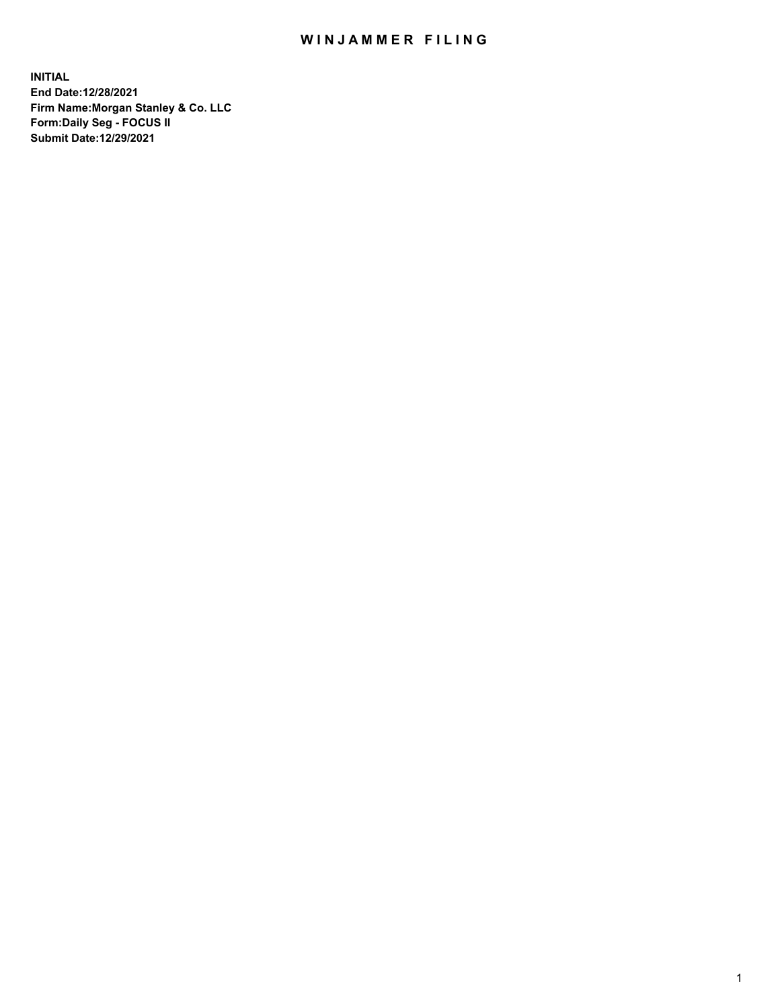## WIN JAMMER FILING

**INITIAL End Date:12/28/2021 Firm Name:Morgan Stanley & Co. LLC Form:Daily Seg - FOCUS II Submit Date:12/29/2021**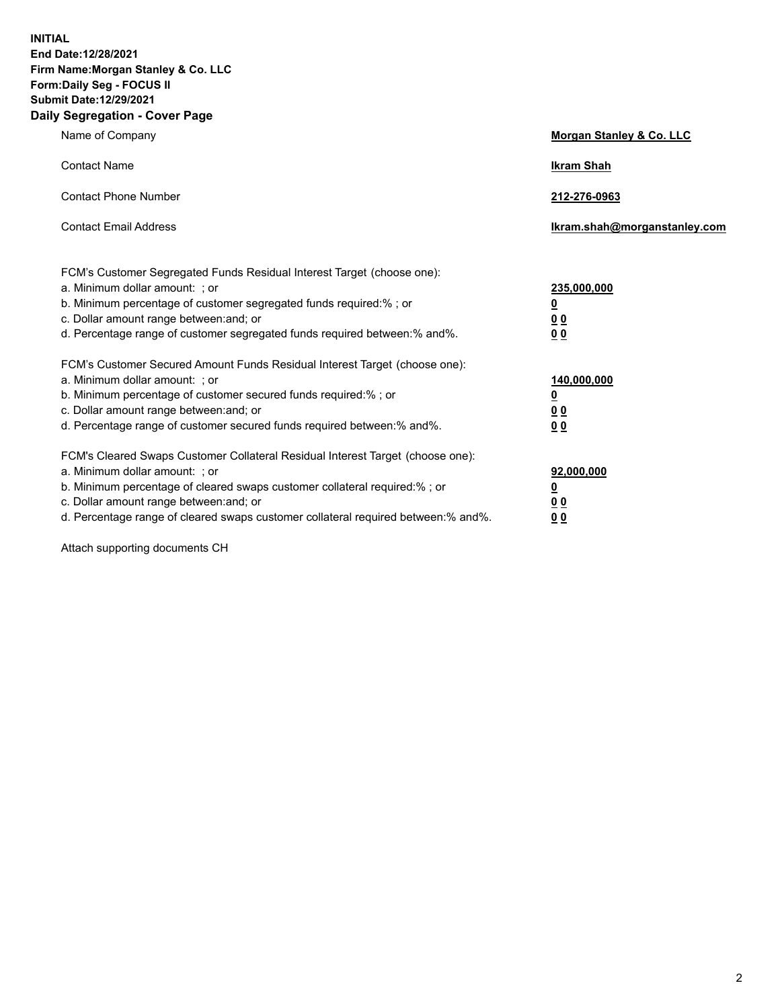**INITIAL End Date:12/28/2021 Firm Name:Morgan Stanley & Co. LLC Form:Daily Seg - FOCUS II Submit Date:12/29/2021 Daily Segregation - Cover Page**

| Name of Company                                                                                                                                                                                                                                                                                                                | <b>Morgan Stanley &amp; Co. LLC</b>                    |
|--------------------------------------------------------------------------------------------------------------------------------------------------------------------------------------------------------------------------------------------------------------------------------------------------------------------------------|--------------------------------------------------------|
| <b>Contact Name</b>                                                                                                                                                                                                                                                                                                            | <b>Ikram Shah</b>                                      |
| <b>Contact Phone Number</b>                                                                                                                                                                                                                                                                                                    | 212-276-0963                                           |
| <b>Contact Email Address</b>                                                                                                                                                                                                                                                                                                   | Ikram.shah@morganstanley.com                           |
| FCM's Customer Segregated Funds Residual Interest Target (choose one):<br>a. Minimum dollar amount: ; or<br>b. Minimum percentage of customer segregated funds required:% ; or<br>c. Dollar amount range between: and; or<br>d. Percentage range of customer segregated funds required between:% and%.                         | 235,000,000<br><u>0</u><br>0 Q<br>0 Q                  |
| FCM's Customer Secured Amount Funds Residual Interest Target (choose one):<br>a. Minimum dollar amount: ; or<br>b. Minimum percentage of customer secured funds required:% ; or<br>c. Dollar amount range between: and; or<br>d. Percentage range of customer secured funds required between: % and %.                         | 140,000,000<br><u>0</u><br><u>00</u><br>0 <sub>0</sub> |
| FCM's Cleared Swaps Customer Collateral Residual Interest Target (choose one):<br>a. Minimum dollar amount: ; or<br>b. Minimum percentage of cleared swaps customer collateral required:% ; or<br>c. Dollar amount range between: and; or<br>d. Percentage range of cleared swaps customer collateral required between:% and%. | 92,000,000<br><u>0</u><br>0 Q<br>00                    |

Attach supporting documents CH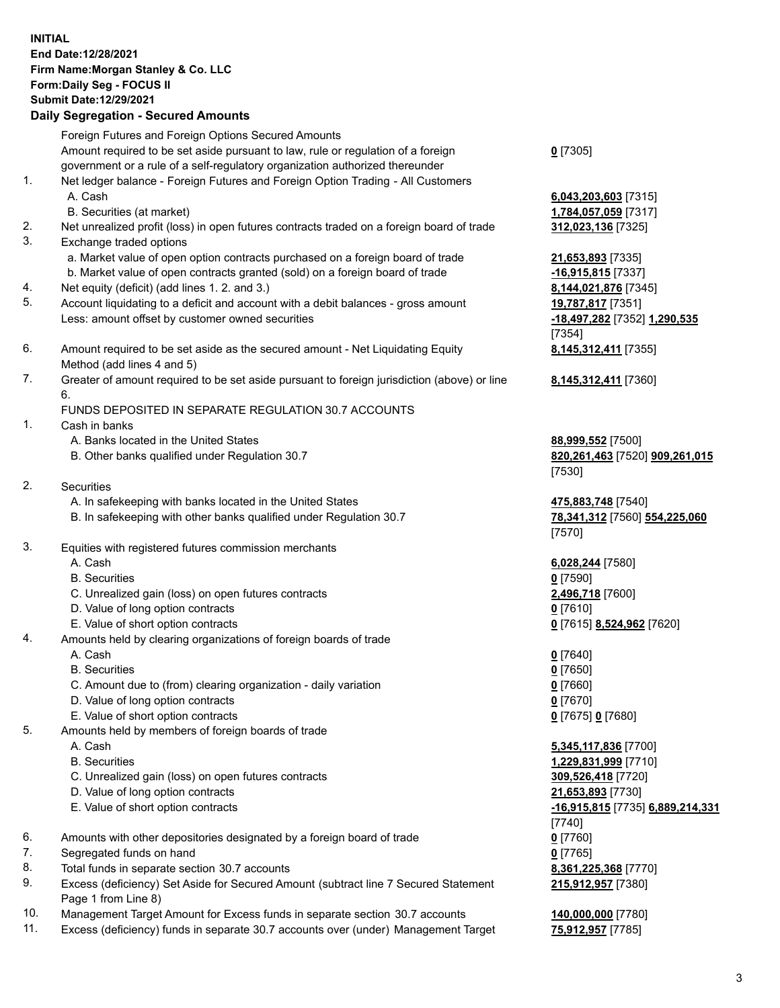## **INITIAL End Date:12/28/2021 Firm Name:Morgan Stanley & Co. LLC Form:Daily Seg - FOCUS II Submit Date:12/29/2021**

## **Daily Segregation - Secured Amounts**

Foreign Futures and Foreign Options Secured Amounts Amount required to be set aside pursuant to law, rule or regulation of a foreign government or a rule of a self-regulatory organization authorized thereunder 1. Net ledger balance - Foreign Futures and Foreign Option Trading - All Customers A. Cash **6,043,203,603** [7315] B. Securities (at market) **1,784,057,059** [7317] 2. Net unrealized profit (loss) in open futures contracts traded on a foreign board of trade **312,023,136** [7325] 3. Exchange traded options a. Market value of open option contracts purchased on a foreign board of trade **21,653,893** [7335] b. Market value of open contracts granted (sold) on a foreign board of trade **-16,915,815** [7337] 4. Net equity (deficit) (add lines 1. 2. and 3.) **8,144,021,876** [7345] 5. Account liquidating to a deficit and account with a debit balances - gross amount **19,787,817** [7351] Less: amount offset by customer owned securities **-18,497,282** [7352] **1,290,535** 6. Amount required to be set aside as the secured amount - Net Liquidating Equity Method (add lines 4 and 5)

7. Greater of amount required to be set aside pursuant to foreign jurisdiction (above) or line 6.

## FUNDS DEPOSITED IN SEPARATE REGULATION 30.7 ACCOUNTS

- 1. Cash in banks
	- A. Banks located in the United States **88,999,552** [7500]
	- B. Other banks qualified under Regulation 30.7 **820,261,463** [7520] **909,261,015**
- 2. Securities
	- A. In safekeeping with banks located in the United States **475,883,748** [7540]
	- B. In safekeeping with other banks qualified under Regulation 30.7 **78,341,312** [7560] **554,225,060**
- 3. Equities with registered futures commission merchants
	-
	- B. Securities **0** [7590]
	- C. Unrealized gain (loss) on open futures contracts **2,496,718** [7600]
	- D. Value of long option contracts **0** [7610]
	- E. Value of short option contracts **0** [7615] **8,524,962** [7620]
- 4. Amounts held by clearing organizations of foreign boards of trade
	- A. Cash **0** [7640]
	- B. Securities **0** [7650]
	- C. Amount due to (from) clearing organization daily variation **0** [7660]
	- D. Value of long option contracts **0** [7670]
	- E. Value of short option contracts **0** [7675] **0** [7680]
- 5. Amounts held by members of foreign boards of trade
	-
	-
	- C. Unrealized gain (loss) on open futures contracts **309,526,418** [7720]
	- D. Value of long option contracts **21,653,893** [7730]
	-
- 6. Amounts with other depositories designated by a foreign board of trade **0** [7760]
- 7. Segregated funds on hand **0** [7765]
- 8. Total funds in separate section 30.7 accounts **8,361,225,368** [7770]
- 9. Excess (deficiency) Set Aside for Secured Amount (subtract line 7 Secured Statement Page 1 from Line 8)
- 10. Management Target Amount for Excess funds in separate section 30.7 accounts **140,000,000** [7780]
- 11. Excess (deficiency) funds in separate 30.7 accounts over (under) Management Target **75,912,957** [7785]

**0** [7305]

[7354] **8,145,312,411** [7355]

**8,145,312,411** [7360]

[7530]

[7570]

A. Cash **6,028,244** [7580]

 A. Cash **5,345,117,836** [7700] B. Securities **1,229,831,999** [7710] E. Value of short option contracts **-16,915,815** [7735] **6,889,214,331** [7740] **215,912,957** [7380]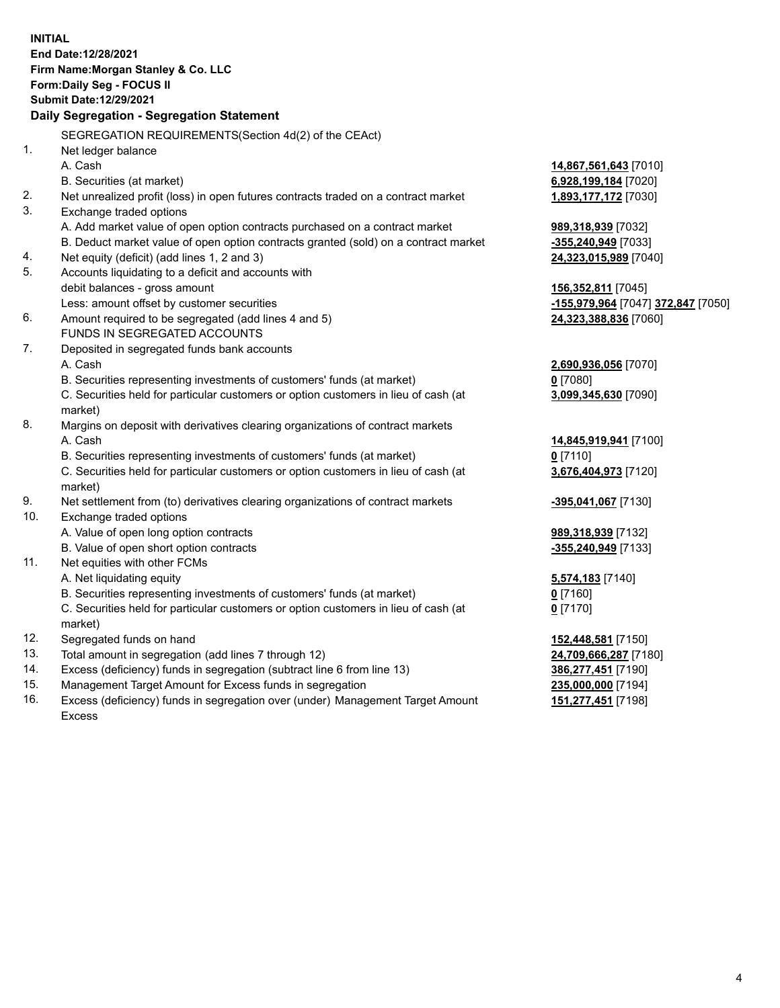**INITIAL End Date:12/28/2021 Firm Name:Morgan Stanley & Co. LLC Form:Daily Seg - FOCUS II Submit Date:12/29/2021 Daily Segregation - Segregation Statement** SEGREGATION REQUIREMENTS(Section 4d(2) of the CEAct) 1. Net ledger balance A. Cash **14,867,561,643** [7010] B. Securities (at market) **6,928,199,184** [7020] 2. Net unrealized profit (loss) in open futures contracts traded on a contract market **1,893,177,172** [7030] 3. Exchange traded options A. Add market value of open option contracts purchased on a contract market **989,318,939** [7032] B. Deduct market value of open option contracts granted (sold) on a contract market **-355,240,949** [7033] 4. Net equity (deficit) (add lines 1, 2 and 3) **24,323,015,989** [7040] 5. Accounts liquidating to a deficit and accounts with debit balances - gross amount **156,352,811** [7045] Less: amount offset by customer securities **-155,979,964** [7047] **372,847** [7050] 6. Amount required to be segregated (add lines 4 and 5) **24,323,388,836** [7060] FUNDS IN SEGREGATED ACCOUNTS 7. Deposited in segregated funds bank accounts A. Cash **2,690,936,056** [7070] B. Securities representing investments of customers' funds (at market) **0** [7080] C. Securities held for particular customers or option customers in lieu of cash (at market) **3,099,345,630** [7090] 8. Margins on deposit with derivatives clearing organizations of contract markets A. Cash **14,845,919,941** [7100] B. Securities representing investments of customers' funds (at market) **0** [7110] C. Securities held for particular customers or option customers in lieu of cash (at market) **3,676,404,973** [7120] 9. Net settlement from (to) derivatives clearing organizations of contract markets **-395,041,067** [7130] 10. Exchange traded options A. Value of open long option contracts **989,318,939** [7132] B. Value of open short option contracts **-355,240,949** [7133] 11. Net equities with other FCMs A. Net liquidating equity **5,574,183** [7140] B. Securities representing investments of customers' funds (at market) **0** [7160] C. Securities held for particular customers or option customers in lieu of cash (at market) **0** [7170] 12. Segregated funds on hand **152,448,581** [7150] 13. Total amount in segregation (add lines 7 through 12) **24,709,666,287** [7180] 14. Excess (deficiency) funds in segregation (subtract line 6 from line 13) **386,277,451** [7190] 15. Management Target Amount for Excess funds in segregation **235,000,000** [7194]

16. Excess (deficiency) funds in segregation over (under) Management Target Amount Excess

**151,277,451** [7198]